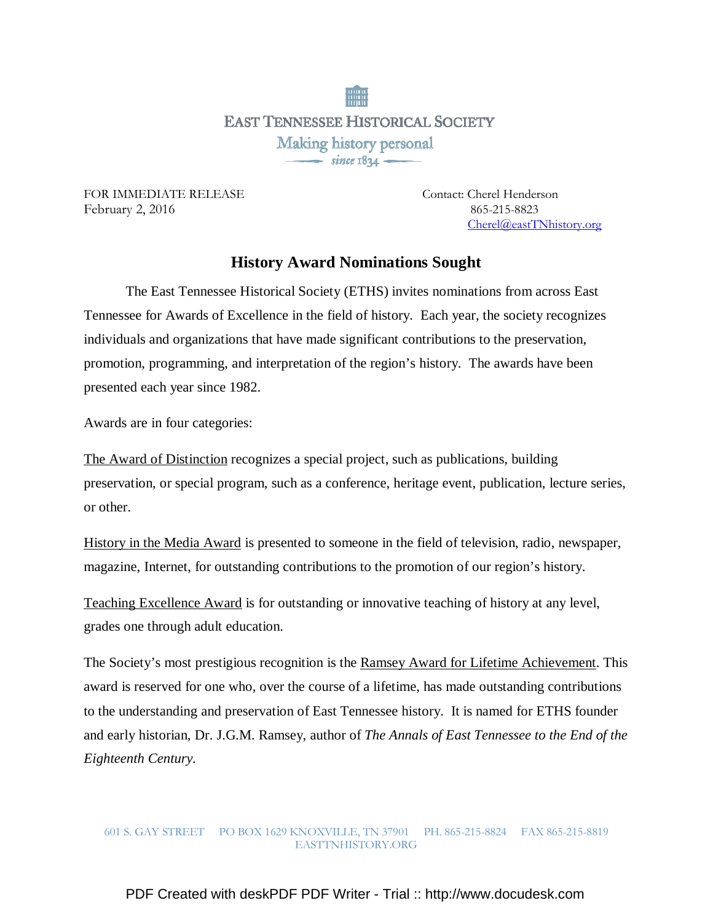**EAST TENNESSEE HISTORICAL SOCIETY** Making history personal 

FOR IMMEDIATE RELEASE Contact: Cherel Henderson February 2, 2016 865-215-8823

Cherel@eastTNhistory.org

## **History Award Nominations Sought**

 The East Tennessee Historical Society (ETHS) invites nominations from across East Tennessee for Awards of Excellence in the field of history. Each year, the society recognizes individuals and organizations that have made significant contributions to the preservation, promotion, programming, and interpretation of the region's history. The awards have been presented each year since 1982.

Awards are in four categories:

The Award of Distinction recognizes a special project, such as publications, building preservation, or special program, such as a conference, heritage event, publication, lecture series, or other.

History in the Media Award is presented to someone in the field of television, radio, newspaper, magazine, Internet, for outstanding contributions to the promotion of our region's history.

Teaching Excellence Award is for outstanding or innovative teaching of history at any level, grades one through adult education.

The Society's most prestigious recognition is the Ramsey Award for Lifetime Achievement. This award is reserved for one who, over the course of a lifetime, has made outstanding contributions to the understanding and preservation of East Tennessee history. It is named for ETHS founder and early historian, Dr. J.G.M. Ramsey, author of *The Annals of East Tennessee to the End of the Eighteenth Century.* 

## 601 S. GAY STREET PO BOX 1629 KNOXVILLE, TN 37901 PH. 865-215-8824 FAX 865-215-8819 EASTTNHISTORY.ORG